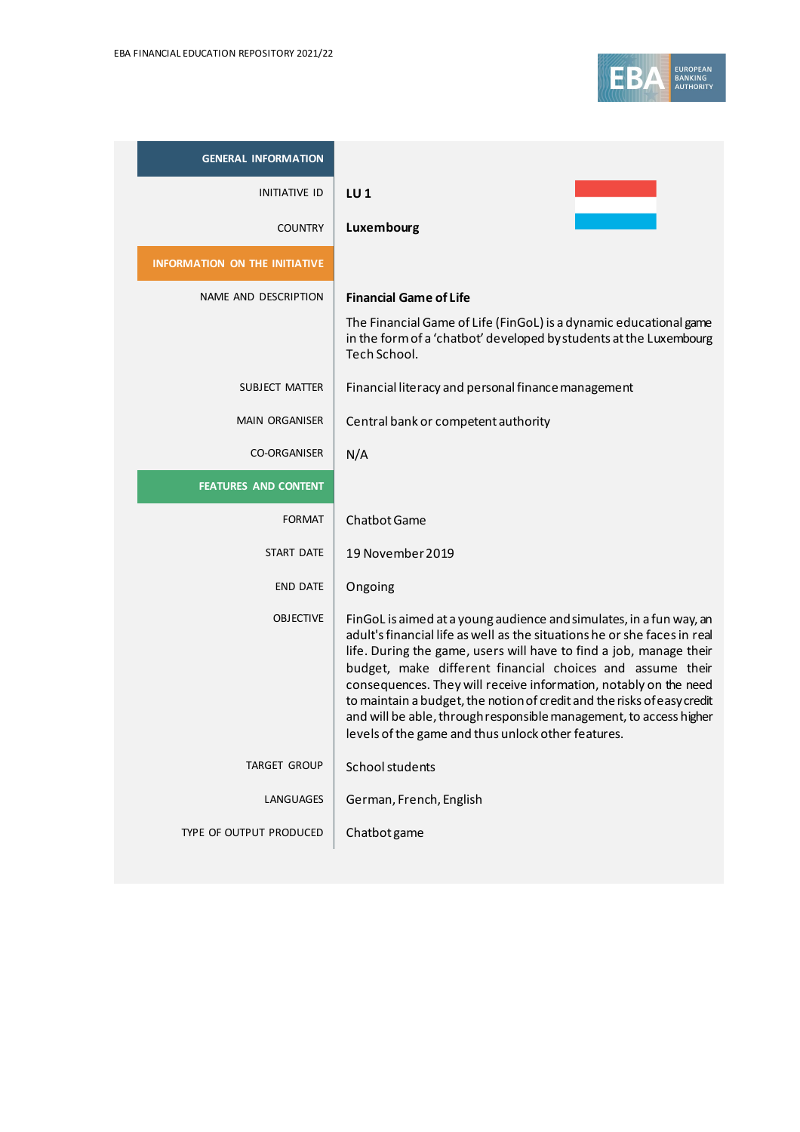

| <b>GENERAL INFORMATION</b>           |                                                                                                                                                                                                                                                                                                                                                                                                                                                                                                                                                               |
|--------------------------------------|---------------------------------------------------------------------------------------------------------------------------------------------------------------------------------------------------------------------------------------------------------------------------------------------------------------------------------------------------------------------------------------------------------------------------------------------------------------------------------------------------------------------------------------------------------------|
| INITIATIVE ID                        | LU <sub>1</sub>                                                                                                                                                                                                                                                                                                                                                                                                                                                                                                                                               |
| <b>COUNTRY</b>                       | Luxembourg                                                                                                                                                                                                                                                                                                                                                                                                                                                                                                                                                    |
| <b>INFORMATION ON THE INITIATIVE</b> |                                                                                                                                                                                                                                                                                                                                                                                                                                                                                                                                                               |
| NAME AND DESCRIPTION                 | <b>Financial Game of Life</b>                                                                                                                                                                                                                                                                                                                                                                                                                                                                                                                                 |
|                                      | The Financial Game of Life (FinGoL) is a dynamic educational game<br>in the form of a 'chatbot' developed by students at the Luxembourg<br>Tech School.                                                                                                                                                                                                                                                                                                                                                                                                       |
| SUBJECT MATTER                       | Financial literacy and personal finance management                                                                                                                                                                                                                                                                                                                                                                                                                                                                                                            |
| <b>MAIN ORGANISER</b>                | Central bank or competent authority                                                                                                                                                                                                                                                                                                                                                                                                                                                                                                                           |
| <b>CO-ORGANISER</b>                  | N/A                                                                                                                                                                                                                                                                                                                                                                                                                                                                                                                                                           |
| <b>FEATURES AND CONTENT</b>          |                                                                                                                                                                                                                                                                                                                                                                                                                                                                                                                                                               |
| <b>FORMAT</b>                        | <b>Chatbot Game</b>                                                                                                                                                                                                                                                                                                                                                                                                                                                                                                                                           |
| START DATE                           | 19 November 2019                                                                                                                                                                                                                                                                                                                                                                                                                                                                                                                                              |
| <b>END DATE</b>                      | Ongoing                                                                                                                                                                                                                                                                                                                                                                                                                                                                                                                                                       |
| <b>OBJECTIVE</b>                     | FinGoL is aimed at a young audience and simulates, in a fun way, an<br>adult's financial life as well as the situations he or she faces in real<br>life. During the game, users will have to find a job, manage their<br>budget, make different financial choices and assume their<br>consequences. They will receive information, notably on the need<br>to maintain a budget, the notion of credit and the risks of easy credit<br>and will be able, through responsible management, to access higher<br>levels of the game and thus unlock other features. |
| TARGET GROUP                         | School students                                                                                                                                                                                                                                                                                                                                                                                                                                                                                                                                               |
| LANGUAGES                            | German, French, English                                                                                                                                                                                                                                                                                                                                                                                                                                                                                                                                       |
| TYPE OF OUTPUT PRODUCED              | Chatbot game                                                                                                                                                                                                                                                                                                                                                                                                                                                                                                                                                  |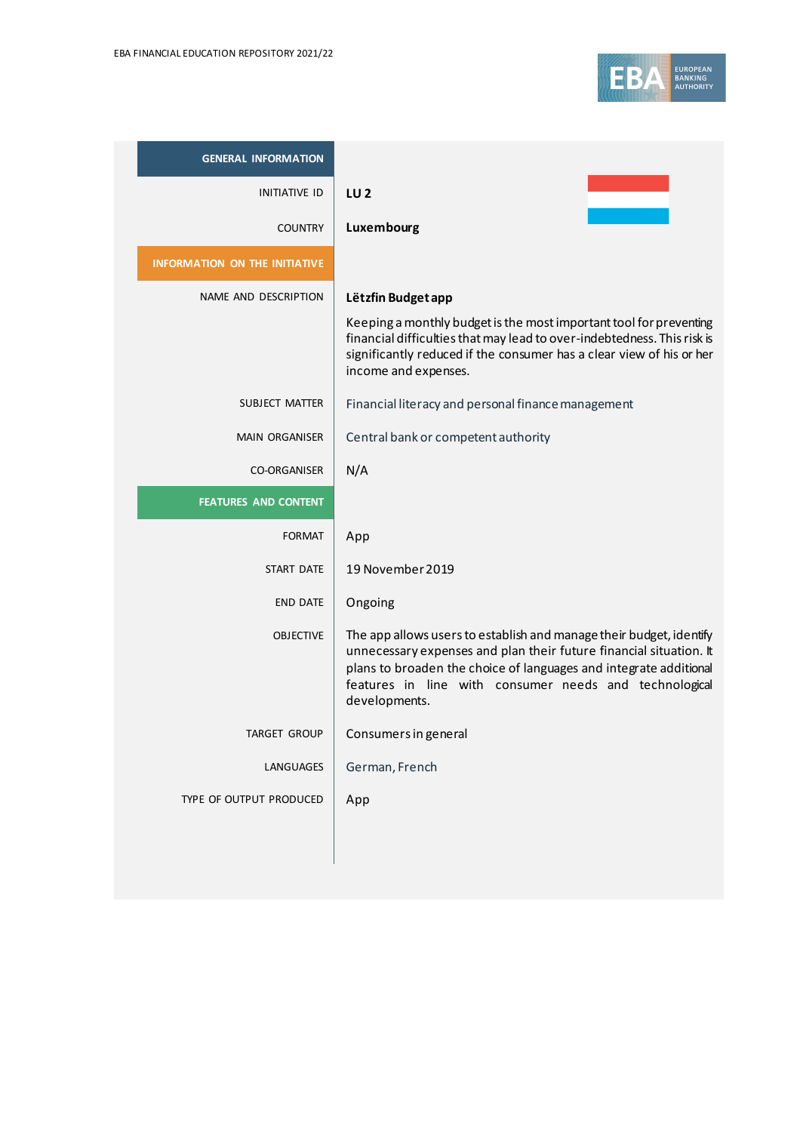

| <b>GENERAL INFORMATION</b>           |                                                                                                                                                                                                                                                                                           |
|--------------------------------------|-------------------------------------------------------------------------------------------------------------------------------------------------------------------------------------------------------------------------------------------------------------------------------------------|
| INITIATIVE ID                        | LU <sub>2</sub>                                                                                                                                                                                                                                                                           |
| <b>COUNTRY</b>                       | Luxembourg                                                                                                                                                                                                                                                                                |
| <b>INFORMATION ON THE INITIATIVE</b> |                                                                                                                                                                                                                                                                                           |
| NAME AND DESCRIPTION                 | Lëtzfin Budget app                                                                                                                                                                                                                                                                        |
|                                      | Keeping a monthly budget is the most important tool for preventing<br>financial difficulties that may lead to over-indebtedness. This risk is<br>significantly reduced if the consumer has a clear view of his or her<br>income and expenses.                                             |
| SUBJECT MATTER                       | Financial literacy and personal finance management                                                                                                                                                                                                                                        |
| <b>MAIN ORGANISER</b>                | Central bank or competent authority                                                                                                                                                                                                                                                       |
| <b>CO-ORGANISER</b>                  | N/A                                                                                                                                                                                                                                                                                       |
| <b>FEATURES AND CONTENT</b>          |                                                                                                                                                                                                                                                                                           |
| FORMAT                               | App                                                                                                                                                                                                                                                                                       |
| START DATE                           | 19 November 2019                                                                                                                                                                                                                                                                          |
| <b>END DATE</b>                      | Ongoing                                                                                                                                                                                                                                                                                   |
| <b>OBJECTIVE</b>                     | The app allows users to establish and manage their budget, identify<br>unnecessary expenses and plan their future financial situation. It<br>plans to broaden the choice of languages and integrate additional<br>features in line with consumer needs and technological<br>developments. |
| <b>TARGET GROUP</b>                  | Consumers in general                                                                                                                                                                                                                                                                      |
| LANGUAGES                            | German, French                                                                                                                                                                                                                                                                            |
| TYPE OF OUTPUT PRODUCED              | App                                                                                                                                                                                                                                                                                       |
|                                      |                                                                                                                                                                                                                                                                                           |
|                                      |                                                                                                                                                                                                                                                                                           |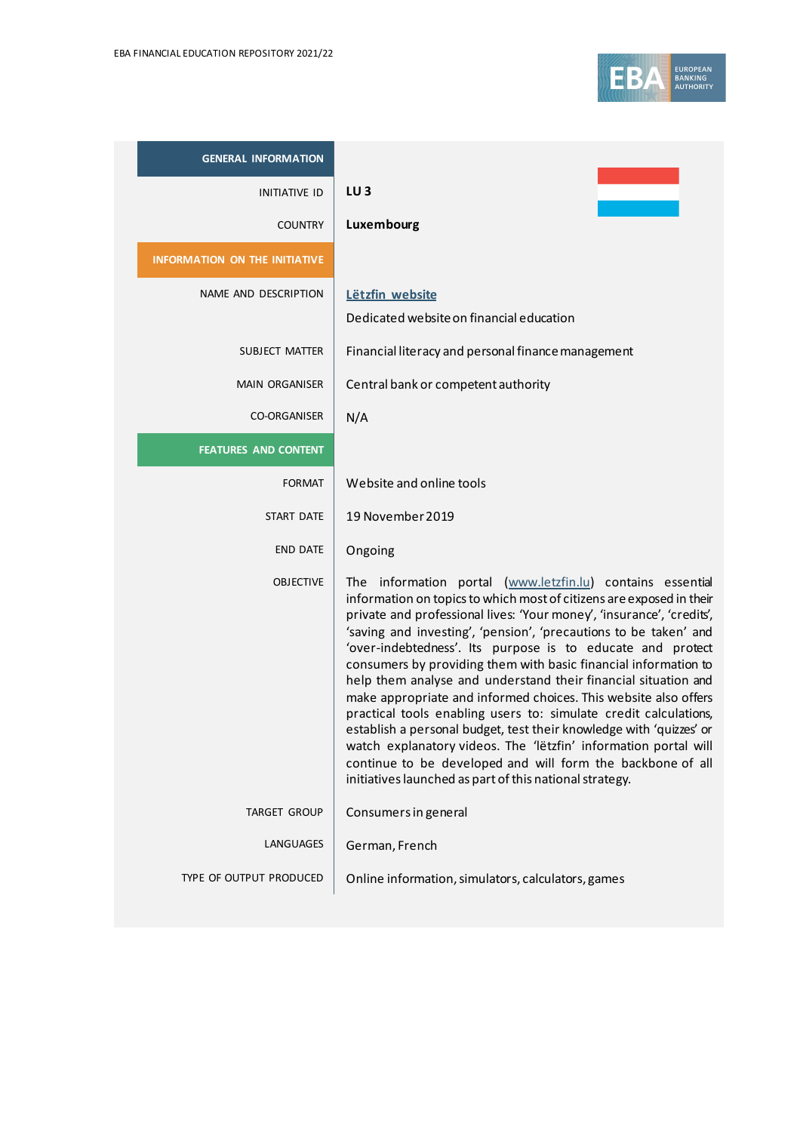| <b>GENERAL INFORMATION</b>           |                                                                                                                                                                                                                                                                                                                                                                                                                                                                                                                                                                                                                                                                                                                                                                                                                                                                                              |
|--------------------------------------|----------------------------------------------------------------------------------------------------------------------------------------------------------------------------------------------------------------------------------------------------------------------------------------------------------------------------------------------------------------------------------------------------------------------------------------------------------------------------------------------------------------------------------------------------------------------------------------------------------------------------------------------------------------------------------------------------------------------------------------------------------------------------------------------------------------------------------------------------------------------------------------------|
| <b>INITIATIVE ID</b>                 | $LU$ 3                                                                                                                                                                                                                                                                                                                                                                                                                                                                                                                                                                                                                                                                                                                                                                                                                                                                                       |
| <b>COUNTRY</b>                       | Luxembourg                                                                                                                                                                                                                                                                                                                                                                                                                                                                                                                                                                                                                                                                                                                                                                                                                                                                                   |
| <b>INFORMATION ON THE INITIATIVE</b> |                                                                                                                                                                                                                                                                                                                                                                                                                                                                                                                                                                                                                                                                                                                                                                                                                                                                                              |
| NAME AND DESCRIPTION                 | Lëtzfin website                                                                                                                                                                                                                                                                                                                                                                                                                                                                                                                                                                                                                                                                                                                                                                                                                                                                              |
|                                      | Dedicated website on financial education                                                                                                                                                                                                                                                                                                                                                                                                                                                                                                                                                                                                                                                                                                                                                                                                                                                     |
| SUBJECT MATTER                       | Financial literacy and personal finance management                                                                                                                                                                                                                                                                                                                                                                                                                                                                                                                                                                                                                                                                                                                                                                                                                                           |
| <b>MAIN ORGANISER</b>                | Central bank or competent authority                                                                                                                                                                                                                                                                                                                                                                                                                                                                                                                                                                                                                                                                                                                                                                                                                                                          |
| <b>CO-ORGANISER</b>                  | N/A                                                                                                                                                                                                                                                                                                                                                                                                                                                                                                                                                                                                                                                                                                                                                                                                                                                                                          |
| <b>FEATURES AND CONTENT</b>          |                                                                                                                                                                                                                                                                                                                                                                                                                                                                                                                                                                                                                                                                                                                                                                                                                                                                                              |
| <b>FORMAT</b>                        | Website and online tools                                                                                                                                                                                                                                                                                                                                                                                                                                                                                                                                                                                                                                                                                                                                                                                                                                                                     |
| START DATE                           | 19 November 2019                                                                                                                                                                                                                                                                                                                                                                                                                                                                                                                                                                                                                                                                                                                                                                                                                                                                             |
| <b>END DATE</b>                      | Ongoing                                                                                                                                                                                                                                                                                                                                                                                                                                                                                                                                                                                                                                                                                                                                                                                                                                                                                      |
| <b>OBJECTIVE</b>                     | The information portal (www.letzfin.lu) contains essential<br>information on topics to which most of citizens are exposed in their<br>private and professional lives: 'Your money', 'insurance', 'credits',<br>'saving and investing', 'pension', 'precautions to be taken' and<br>'over-indebtedness'. Its purpose is to educate and protect<br>consumers by providing them with basic financial information to<br>help them analyse and understand their financial situation and<br>make appropriate and informed choices. This website also offers<br>practical tools enabling users to: simulate credit calculations,<br>establish a personal budget, test their knowledge with 'quizzes' or<br>watch explanatory videos. The 'lëtzfin' information portal will<br>continue to be developed and will form the backbone of all<br>initiatives launched as part of this national strategy. |
| <b>TARGET GROUP</b>                  | Consumers in general                                                                                                                                                                                                                                                                                                                                                                                                                                                                                                                                                                                                                                                                                                                                                                                                                                                                         |
| LANGUAGES                            | German, French                                                                                                                                                                                                                                                                                                                                                                                                                                                                                                                                                                                                                                                                                                                                                                                                                                                                               |
| TYPE OF OUTPUT PRODUCED              | Online information, simulators, calculators, games                                                                                                                                                                                                                                                                                                                                                                                                                                                                                                                                                                                                                                                                                                                                                                                                                                           |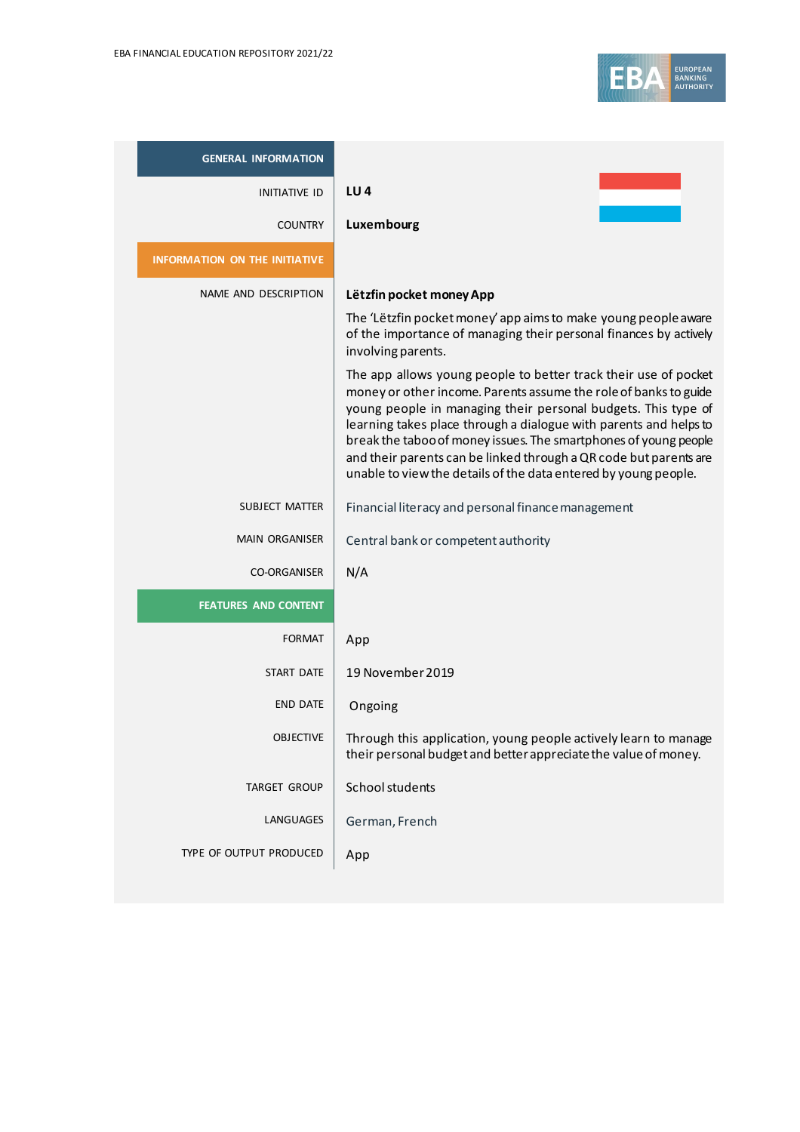

| <b>GENERAL INFORMATION</b>           |                                                                                                                                                                                                                                                                                                                                                                                                                                                                                       |
|--------------------------------------|---------------------------------------------------------------------------------------------------------------------------------------------------------------------------------------------------------------------------------------------------------------------------------------------------------------------------------------------------------------------------------------------------------------------------------------------------------------------------------------|
| <b>INITIATIVE ID</b>                 | LU <sub>4</sub>                                                                                                                                                                                                                                                                                                                                                                                                                                                                       |
| <b>COUNTRY</b>                       | Luxembourg                                                                                                                                                                                                                                                                                                                                                                                                                                                                            |
| <b>INFORMATION ON THE INITIATIVE</b> |                                                                                                                                                                                                                                                                                                                                                                                                                                                                                       |
| NAME AND DESCRIPTION                 | Lëtzfin pocket money App                                                                                                                                                                                                                                                                                                                                                                                                                                                              |
|                                      | The 'Lëtzfin pocket money' app aims to make young people aware<br>of the importance of managing their personal finances by actively<br>involving parents.                                                                                                                                                                                                                                                                                                                             |
|                                      | The app allows young people to better track their use of pocket<br>money or other income. Parents assume the role of banks to guide<br>young people in managing their personal budgets. This type of<br>learning takes place through a dialogue with parents and helps to<br>break the taboo of money issues. The smartphones of young people<br>and their parents can be linked through a QR code but parents are<br>unable to view the details of the data entered by young people. |
| SUBJECT MATTER                       | Financial literacy and personal finance management                                                                                                                                                                                                                                                                                                                                                                                                                                    |
| <b>MAIN ORGANISER</b>                | Central bank or competent authority                                                                                                                                                                                                                                                                                                                                                                                                                                                   |
| <b>CO-ORGANISER</b>                  | N/A                                                                                                                                                                                                                                                                                                                                                                                                                                                                                   |
| <b>FEATURES AND CONTENT</b>          |                                                                                                                                                                                                                                                                                                                                                                                                                                                                                       |
| <b>FORMAT</b>                        | App                                                                                                                                                                                                                                                                                                                                                                                                                                                                                   |
| <b>START DATE</b>                    | 19 November 2019                                                                                                                                                                                                                                                                                                                                                                                                                                                                      |
| <b>END DATE</b>                      | Ongoing                                                                                                                                                                                                                                                                                                                                                                                                                                                                               |
| <b>OBJECTIVE</b>                     | Through this application, young people actively learn to manage<br>their personal budget and better appreciate the value of money.                                                                                                                                                                                                                                                                                                                                                    |
| TARGET GROUP                         | School students                                                                                                                                                                                                                                                                                                                                                                                                                                                                       |
| LANGUAGES                            | German, French                                                                                                                                                                                                                                                                                                                                                                                                                                                                        |
| TYPE OF OUTPUT PRODUCED              | App                                                                                                                                                                                                                                                                                                                                                                                                                                                                                   |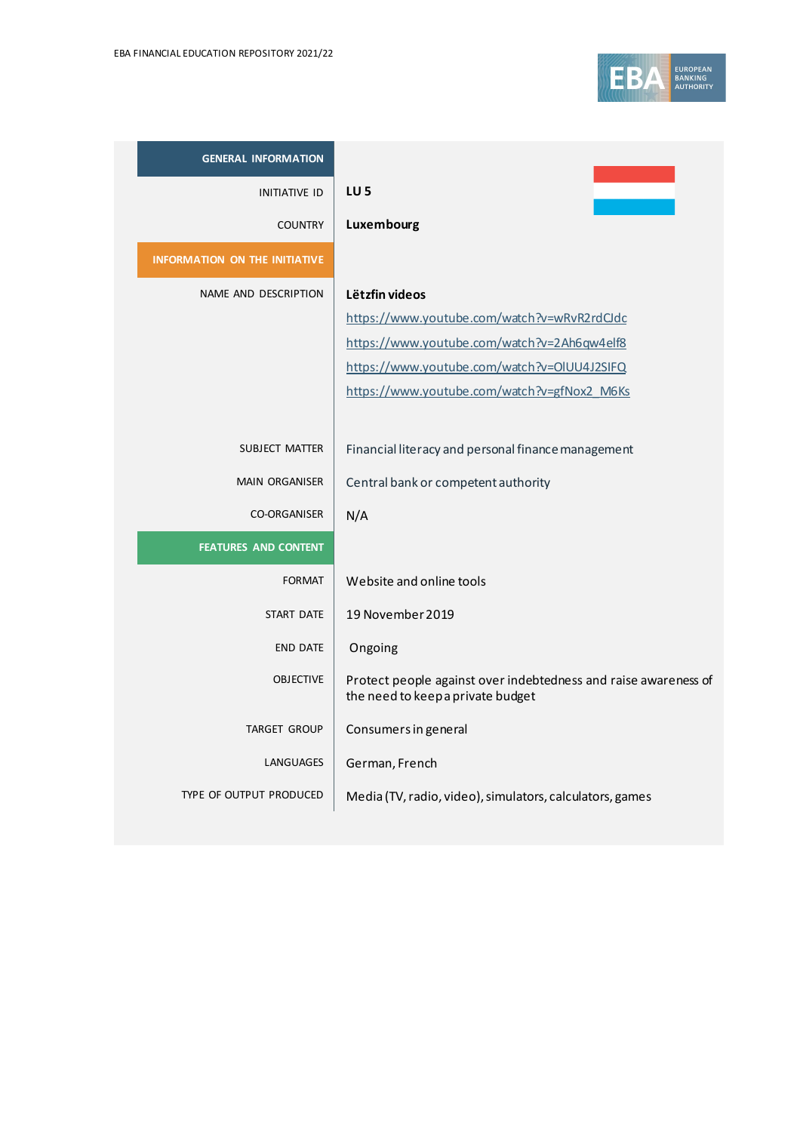

| <b>GENERAL INFORMATION</b>           |                                                                                                      |
|--------------------------------------|------------------------------------------------------------------------------------------------------|
| <b>INITIATIVE ID</b>                 | LU <sub>5</sub>                                                                                      |
| <b>COUNTRY</b>                       | Luxembourg                                                                                           |
| <b>INFORMATION ON THE INITIATIVE</b> |                                                                                                      |
| NAME AND DESCRIPTION                 | Lëtzfin videos                                                                                       |
|                                      | https://www.youtube.com/watch?v=wRvR2rdCJdc                                                          |
|                                      | https://www.youtube.com/watch?v=2Ah6qw4elf8                                                          |
|                                      | https://www.youtube.com/watch?v=OIUU4J2SIFQ                                                          |
|                                      | https://www.youtube.com/watch?v=gfNox2_M6Ks                                                          |
|                                      |                                                                                                      |
| SUBJECT MATTER                       | Financial literacy and personal finance management                                                   |
| <b>MAIN ORGANISER</b>                | Central bank or competent authority                                                                  |
| <b>CO-ORGANISER</b>                  | N/A                                                                                                  |
| <b>FEATURES AND CONTENT</b>          |                                                                                                      |
| <b>FORMAT</b>                        | Website and online tools                                                                             |
| <b>START DATE</b>                    | 19 November 2019                                                                                     |
| <b>END DATE</b>                      | Ongoing                                                                                              |
| <b>OBJECTIVE</b>                     | Protect people against over indebtedness and raise awareness of<br>the need to keep a private budget |
| <b>TARGET GROUP</b>                  | Consumers in general                                                                                 |
| LANGUAGES                            | German, French                                                                                       |
| TYPE OF OUTPUT PRODUCED              | Media (TV, radio, video), simulators, calculators, games                                             |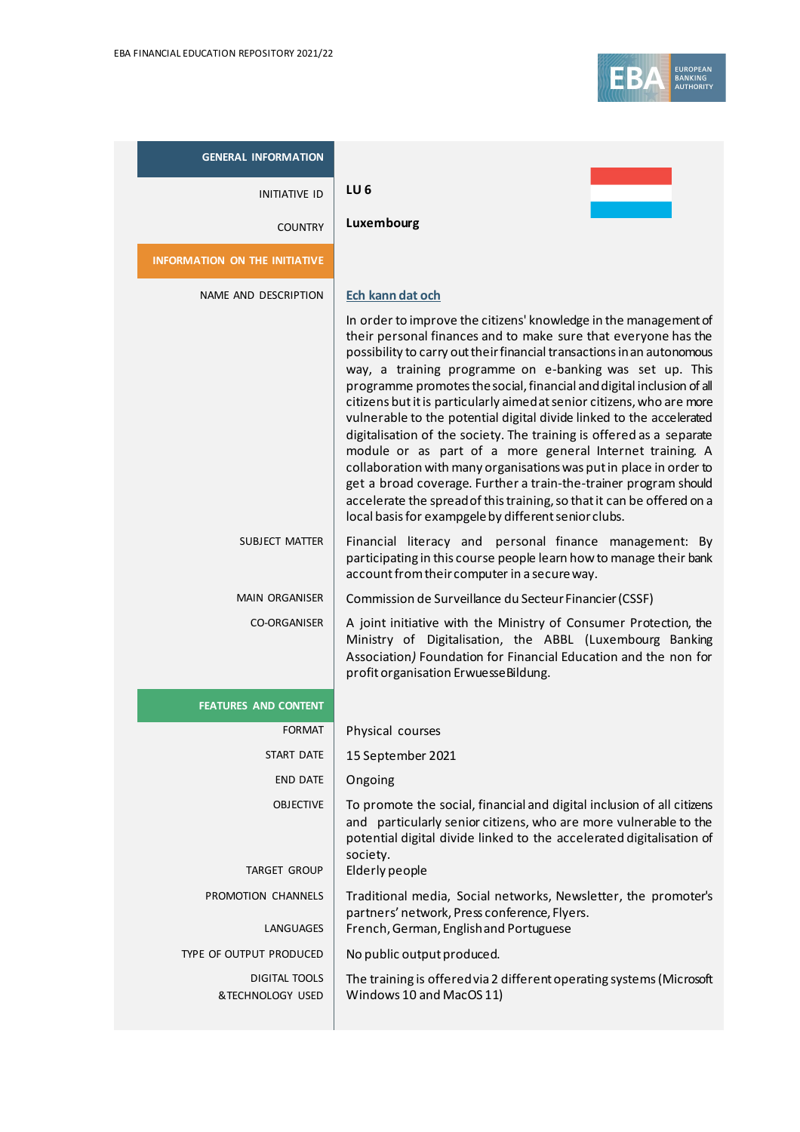

| <b>GENERAL INFORMATION</b>               |                                                                                                                                                                                                                                                                                                                                                                                                                                                                                                                                                                                                                                                                                                                                                                                                                                                                                |
|------------------------------------------|--------------------------------------------------------------------------------------------------------------------------------------------------------------------------------------------------------------------------------------------------------------------------------------------------------------------------------------------------------------------------------------------------------------------------------------------------------------------------------------------------------------------------------------------------------------------------------------------------------------------------------------------------------------------------------------------------------------------------------------------------------------------------------------------------------------------------------------------------------------------------------|
| <b>INITIATIVE ID</b>                     | LU6                                                                                                                                                                                                                                                                                                                                                                                                                                                                                                                                                                                                                                                                                                                                                                                                                                                                            |
| <b>COUNTRY</b>                           | Luxembourg                                                                                                                                                                                                                                                                                                                                                                                                                                                                                                                                                                                                                                                                                                                                                                                                                                                                     |
| <b>INFORMATION ON THE INITIATIVE</b>     |                                                                                                                                                                                                                                                                                                                                                                                                                                                                                                                                                                                                                                                                                                                                                                                                                                                                                |
| NAME AND DESCRIPTION                     | Ech kann dat och<br>In order to improve the citizens' knowledge in the management of<br>their personal finances and to make sure that everyone has the<br>possibility to carry out their financial transactions in an autonomous<br>way, a training programme on e-banking was set up. This<br>programme promotes the social, financial and digital inclusion of all<br>citizens but it is particularly aimed at senior citizens, who are more<br>vulnerable to the potential digital divide linked to the accelerated<br>digitalisation of the society. The training is offered as a separate<br>module or as part of a more general Internet training. A<br>collaboration with many organisations was put in place in order to<br>get a broad coverage. Further a train-the-trainer program should<br>accelerate the spread of this training, so that it can be offered on a |
| <b>SUBJECT MATTER</b>                    | local basis for exampgele by different senior clubs.<br>Financial literacy and personal finance management: By<br>participating in this course people learn how to manage their bank<br>account from their computer in a secure way.                                                                                                                                                                                                                                                                                                                                                                                                                                                                                                                                                                                                                                           |
| <b>MAIN ORGANISER</b>                    | Commission de Surveillance du Secteur Financier (CSSF)                                                                                                                                                                                                                                                                                                                                                                                                                                                                                                                                                                                                                                                                                                                                                                                                                         |
| <b>CO-ORGANISER</b>                      | A joint initiative with the Ministry of Consumer Protection, the<br>Ministry of Digitalisation, the ABBL (Luxembourg Banking<br>Association) Foundation for Financial Education and the non for<br>profit organisation Erwuesse Bildung.                                                                                                                                                                                                                                                                                                                                                                                                                                                                                                                                                                                                                                       |
| <b>FEATURES AND CONTENT</b>              |                                                                                                                                                                                                                                                                                                                                                                                                                                                                                                                                                                                                                                                                                                                                                                                                                                                                                |
| <b>FORMAT</b>                            | Physical courses                                                                                                                                                                                                                                                                                                                                                                                                                                                                                                                                                                                                                                                                                                                                                                                                                                                               |
| <b>START DATE</b>                        | 15 September 2021                                                                                                                                                                                                                                                                                                                                                                                                                                                                                                                                                                                                                                                                                                                                                                                                                                                              |
| END DATE                                 | Ongoing                                                                                                                                                                                                                                                                                                                                                                                                                                                                                                                                                                                                                                                                                                                                                                                                                                                                        |
| <b>OBJECTIVE</b>                         | To promote the social, financial and digital inclusion of all citizens<br>and particularly senior citizens, who are more vulnerable to the<br>potential digital divide linked to the accelerated digitalisation of<br>society.                                                                                                                                                                                                                                                                                                                                                                                                                                                                                                                                                                                                                                                 |
| TARGET GROUP                             | Elderly people                                                                                                                                                                                                                                                                                                                                                                                                                                                                                                                                                                                                                                                                                                                                                                                                                                                                 |
| PROMOTION CHANNELS<br>LANGUAGES          | Traditional media, Social networks, Newsletter, the promoter's<br>partners' network, Press conference, Flyers.<br>French, German, English and Portuguese                                                                                                                                                                                                                                                                                                                                                                                                                                                                                                                                                                                                                                                                                                                       |
| TYPE OF OUTPUT PRODUCED                  | No public output produced.                                                                                                                                                                                                                                                                                                                                                                                                                                                                                                                                                                                                                                                                                                                                                                                                                                                     |
| <b>DIGITAL TOOLS</b><br>&TECHNOLOGY USED | The training is offered via 2 different operating systems (Microsoft<br>Windows 10 and MacOS 11)                                                                                                                                                                                                                                                                                                                                                                                                                                                                                                                                                                                                                                                                                                                                                                               |

ш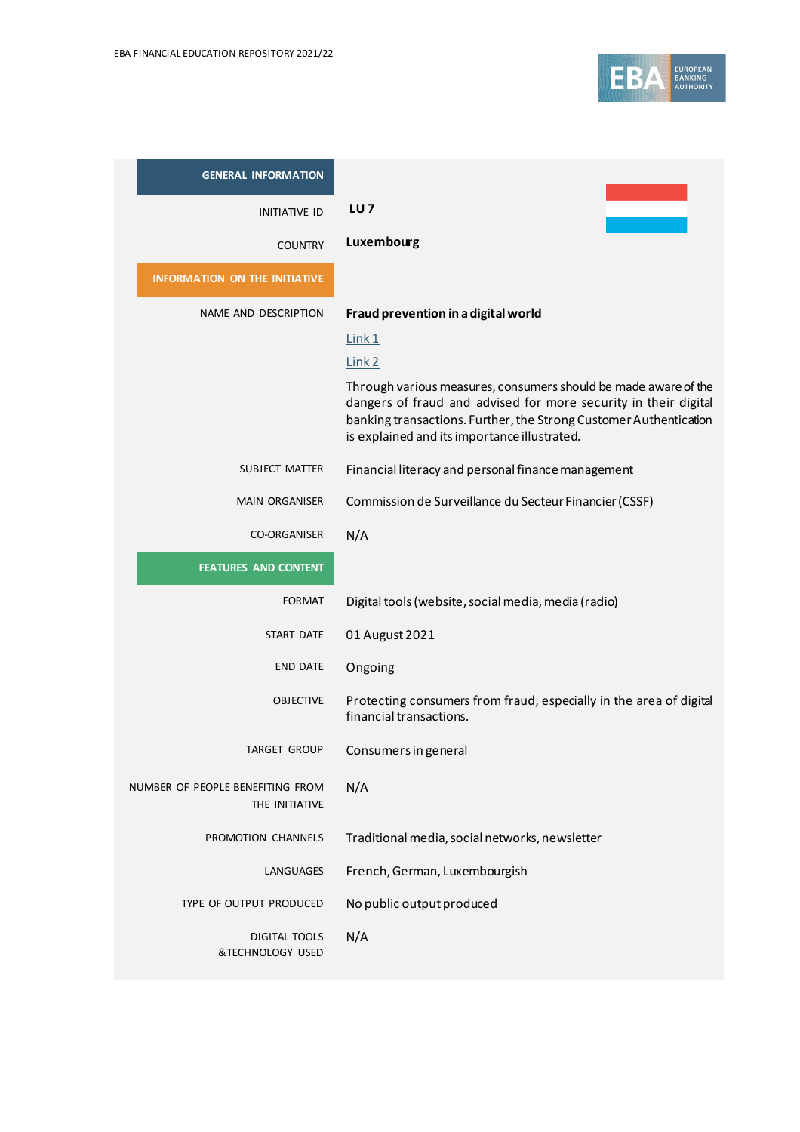

| <b>GENERAL INFORMATION</b>                         |                                                                                                                                                                                                                                                         |
|----------------------------------------------------|---------------------------------------------------------------------------------------------------------------------------------------------------------------------------------------------------------------------------------------------------------|
| <b>INITIATIVE ID</b>                               | LU <sub>7</sub>                                                                                                                                                                                                                                         |
| <b>COUNTRY</b>                                     | Luxembourg                                                                                                                                                                                                                                              |
| <b>INFORMATION ON THE INITIATIVE</b>               |                                                                                                                                                                                                                                                         |
| NAME AND DESCRIPTION                               | Fraud prevention in a digital world                                                                                                                                                                                                                     |
|                                                    | Link1                                                                                                                                                                                                                                                   |
|                                                    | Link <sub>2</sub>                                                                                                                                                                                                                                       |
|                                                    | Through various measures, consumers should be made aware of the<br>dangers of fraud and advised for more security in their digital<br>banking transactions. Further, the Strong Customer Authentication<br>is explained and its importance illustrated. |
| SUBJECT MATTER                                     | Financial literacy and personal finance management                                                                                                                                                                                                      |
| <b>MAIN ORGANISER</b>                              | Commission de Surveillance du Secteur Financier (CSSF)                                                                                                                                                                                                  |
| <b>CO-ORGANISER</b>                                | N/A                                                                                                                                                                                                                                                     |
| <b>FEATURES AND CONTENT</b>                        |                                                                                                                                                                                                                                                         |
| <b>FORMAT</b>                                      | Digital tools (website, social media, media (radio)                                                                                                                                                                                                     |
| <b>START DATE</b>                                  | 01 August 2021                                                                                                                                                                                                                                          |
| <b>END DATE</b>                                    | Ongoing                                                                                                                                                                                                                                                 |
| <b>OBJECTIVE</b>                                   | Protecting consumers from fraud, especially in the area of digital<br>financial transactions.                                                                                                                                                           |
| TARGET GROUP                                       | Consumers in general                                                                                                                                                                                                                                    |
| NUMBER OF PEOPLE BENEFITING FROM<br>THE INITIATIVE | N/A                                                                                                                                                                                                                                                     |
| PROMOTION CHANNELS                                 | Traditional media, social networks, newsletter                                                                                                                                                                                                          |
| LANGUAGES                                          | French, German, Luxembourgish                                                                                                                                                                                                                           |
| TYPE OF OUTPUT PRODUCED                            | No public output produced                                                                                                                                                                                                                               |
| <b>DIGITAL TOOLS</b><br>&TECHNOLOGY USED           | N/A                                                                                                                                                                                                                                                     |